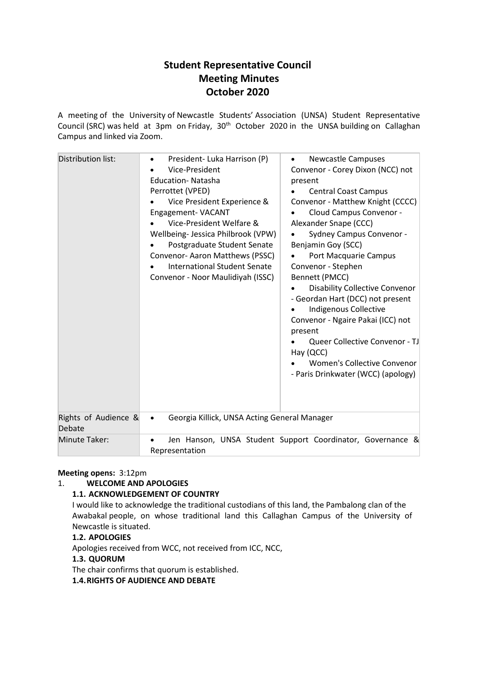# **Student Representative Council Meeting Minutes October 2020**

A meeting of the University of Newcastle Students' Association (UNSA) Student Representative Council (SRC) was held at 3pm on Friday, 30<sup>th</sup> October 2020 in the UNSA building on Callaghan Campus and linked via Zoom.

| Distribution list:             | President- Luka Harrison (P)<br>$\bullet$<br>Vice-President<br><b>Education-Natasha</b><br>Perrottet (VPED)<br>Vice President Experience &<br>Engagement-VACANT<br>Vice-President Welfare &<br>Wellbeing- Jessica Philbrook (VPW)<br>Postgraduate Student Senate<br>Convenor-Aaron Matthews (PSSC)<br><b>International Student Senate</b><br>Convenor - Noor Maulidiyah (ISSC) | <b>Newcastle Campuses</b><br>$\bullet$<br>Convenor - Corey Dixon (NCC) not<br>present<br><b>Central Coast Campus</b><br>Convenor - Matthew Knight (CCCC)<br>Cloud Campus Convenor -<br>Alexander Snape (CCC)<br><b>Sydney Campus Convenor -</b><br>Benjamin Goy (SCC)<br>Port Macquarie Campus<br>Convenor - Stephen<br>Bennett (PMCC)<br><b>Disability Collective Convenor</b><br>- Geordan Hart (DCC) not present<br><b>Indigenous Collective</b><br>Convenor - Ngaire Pakai (ICC) not<br>present<br>Queer Collective Convenor - TJ<br>Hay (QCC)<br>Women's Collective Convenor<br>- Paris Drinkwater (WCC) (apology) |
|--------------------------------|--------------------------------------------------------------------------------------------------------------------------------------------------------------------------------------------------------------------------------------------------------------------------------------------------------------------------------------------------------------------------------|-------------------------------------------------------------------------------------------------------------------------------------------------------------------------------------------------------------------------------------------------------------------------------------------------------------------------------------------------------------------------------------------------------------------------------------------------------------------------------------------------------------------------------------------------------------------------------------------------------------------------|
| Rights of Audience &<br>Debate | Georgia Killick, UNSA Acting General Manager<br>$\bullet$                                                                                                                                                                                                                                                                                                                      |                                                                                                                                                                                                                                                                                                                                                                                                                                                                                                                                                                                                                         |
| Minute Taker:                  | Representation                                                                                                                                                                                                                                                                                                                                                                 | Jen Hanson, UNSA Student Support Coordinator, Governance &                                                                                                                                                                                                                                                                                                                                                                                                                                                                                                                                                              |

#### **Meeting opens:** 3:12pm

# 1. **WELCOME AND APOLOGIES**

# **1.1. ACKNOWLEDGEMENT OF COUNTRY**

I would like to acknowledge the traditional custodians of this land, the Pambalong clan of the Awabakal people, on whose traditional land this Callaghan Campus of the University of Newcastle is situated.

# **1.2. APOLOGIES**

Apologies received from WCC, not received from ICC, NCC,

#### **1.3. QUORUM**

The chair confirms that quorum is established.

**1.4.RIGHTS OF AUDIENCE AND DEBATE**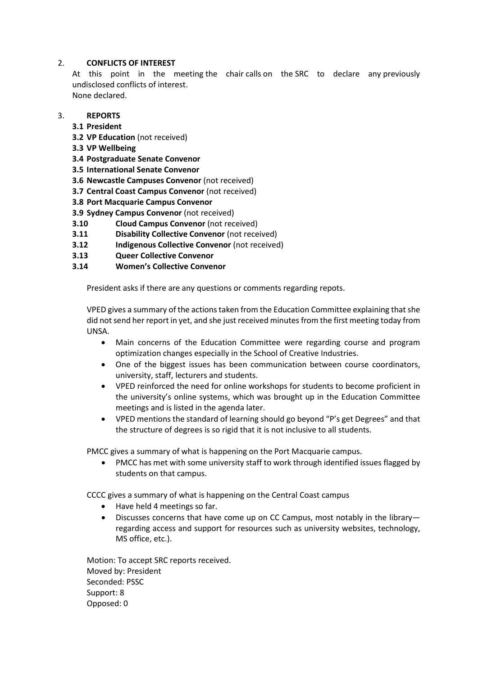#### 2. **CONFLICTS OF INTEREST**

At this point in the meeting the chair calls on the SRC to declare any previously undisclosed conflicts of interest. None declared.

3. **REPORTS**

- **3.1 President**
- **3.2 VP Education** (not received)
- **3.3 VP Wellbeing**
- **3.4 Postgraduate Senate Convenor**
- **3.5 International Senate Convenor**
- **3.6 Newcastle Campuses Convenor** (not received)
- **3.7 Central Coast Campus Convenor** (not received)
- **3.8 Port Macquarie Campus Convenor**
- **3.9 Sydney Campus Convenor** (not received)
- **3.10 Cloud Campus Convenor** (not received)
- **3.11 Disability Collective Convenor** (not received)
- **3.12 Indigenous Collective Convenor** (not received)
- **3.13 Queer Collective Convenor**
- **3.14 Women's Collective Convenor**

President asks if there are any questions or comments regarding repots.

VPED gives a summary of the actions taken from the Education Committee explaining that she did not send her report in yet, and she just received minutes from the first meeting today from UNSA.

- Main concerns of the Education Committee were regarding course and program optimization changes especially in the School of Creative Industries.
- One of the biggest issues has been communication between course coordinators, university, staff, lecturers and students.
- VPED reinforced the need for online workshops for students to become proficient in the university's online systems, which was brought up in the Education Committee meetings and is listed in the agenda later.
- VPED mentions the standard of learning should go beyond "P's get Degrees" and that the structure of degrees is so rigid that it is not inclusive to all students.

PMCC gives a summary of what is happening on the Port Macquarie campus.

• PMCC has met with some university staff to work through identified issues flagged by students on that campus.

CCCC gives a summary of what is happening on the Central Coast campus

- Have held 4 meetings so far.
- Discusses concerns that have come up on CC Campus, most notably in the library regarding access and support for resources such as university websites, technology, MS office, etc.).

Motion: To accept SRC reports received. Moved by: President Seconded: PSSC Support: 8 Opposed: 0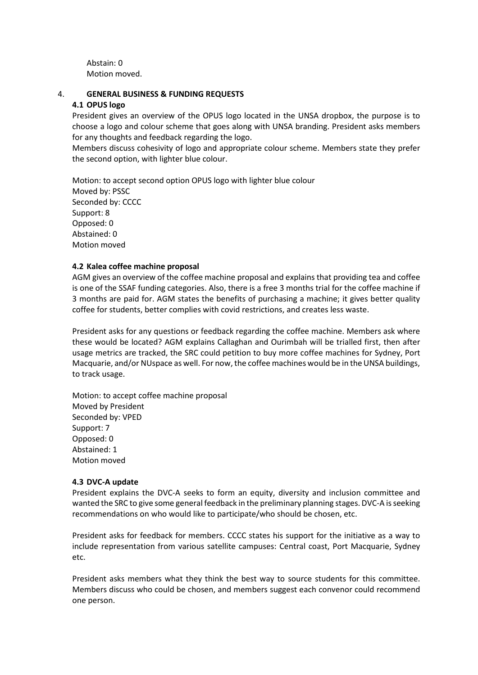Abstain: 0 Motion moved.

#### 4. **GENERAL BUSINESS & FUNDING REQUESTS**

#### **4.1 OPUS logo**

President gives an overview of the OPUS logo located in the UNSA dropbox, the purpose is to choose a logo and colour scheme that goes along with UNSA branding. President asks members for any thoughts and feedback regarding the logo.

Members discuss cohesivity of logo and appropriate colour scheme. Members state they prefer the second option, with lighter blue colour.

Motion: to accept second option OPUS logo with lighter blue colour Moved by: PSSC Seconded by: CCCC Support: 8 Opposed: 0 Abstained: 0 Motion moved

#### **4.2 Kalea coffee machine proposal**

AGM gives an overview of the coffee machine proposal and explains that providing tea and coffee is one of the SSAF funding categories. Also, there is a free 3 months trial for the coffee machine if 3 months are paid for. AGM states the benefits of purchasing a machine; it gives better quality coffee for students, better complies with covid restrictions, and creates less waste.

President asks for any questions or feedback regarding the coffee machine. Members ask where these would be located? AGM explains Callaghan and Ourimbah will be trialled first, then after usage metrics are tracked, the SRC could petition to buy more coffee machines for Sydney, Port Macquarie, and/or NUspace as well. For now,the coffee machines would be in the UNSA buildings, to track usage.

Motion: to accept coffee machine proposal Moved by President Seconded by: VPED Support: 7 Opposed: 0 Abstained: 1 Motion moved

#### **4.3 DVC-A update**

President explains the DVC-A seeks to form an equity, diversity and inclusion committee and wanted the SRC to give some general feedback in the preliminary planning stages. DVC-A is seeking recommendations on who would like to participate/who should be chosen, etc.

President asks for feedback for members. CCCC states his support for the initiative as a way to include representation from various satellite campuses: Central coast, Port Macquarie, Sydney etc.

President asks members what they think the best way to source students for this committee. Members discuss who could be chosen, and members suggest each convenor could recommend one person.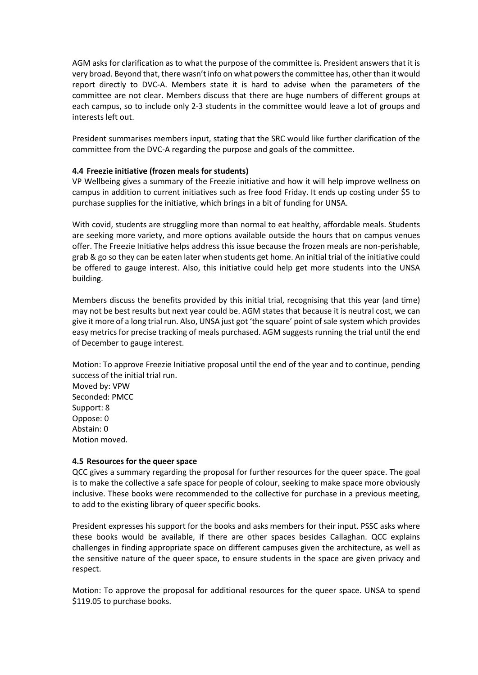AGM asks for clarification as to what the purpose of the committee is. President answers that it is very broad. Beyond that, there wasn't info on what powers the committee has, other than it would report directly to DVC-A. Members state it is hard to advise when the parameters of the committee are not clear. Members discuss that there are huge numbers of different groups at each campus, so to include only 2-3 students in the committee would leave a lot of groups and interests left out.

President summarises members input, stating that the SRC would like further clarification of the committee from the DVC-A regarding the purpose and goals of the committee.

#### **4.4 Freezie initiative (frozen meals for students)**

VP Wellbeing gives a summary of the Freezie initiative and how it will help improve wellness on campus in addition to current initiatives such as free food Friday. It ends up costing under \$5 to purchase supplies for the initiative, which brings in a bit of funding for UNSA.

With covid, students are struggling more than normal to eat healthy, affordable meals. Students are seeking more variety, and more options available outside the hours that on campus venues offer. The Freezie Initiative helps address this issue because the frozen meals are non-perishable, grab & go so they can be eaten later when students get home. An initial trial of the initiative could be offered to gauge interest. Also, this initiative could help get more students into the UNSA building.

Members discuss the benefits provided by this initial trial, recognising that this year (and time) may not be best results but next year could be. AGM states that because it is neutral cost, we can give it more of a long trial run. Also, UNSA just got 'the square' point of sale system which provides easy metrics for precise tracking of meals purchased. AGM suggests running the trial until the end of December to gauge interest.

Motion: To approve Freezie Initiative proposal until the end of the year and to continue, pending success of the initial trial run.

Moved by: VPW Seconded: PMCC Support: 8 Oppose: 0 Abstain: 0 Motion moved.

#### **4.5 Resources for the queer space**

QCC gives a summary regarding the proposal for further resources for the queer space. The goal is to make the collective a safe space for people of colour, seeking to make space more obviously inclusive. These books were recommended to the collective for purchase in a previous meeting, to add to the existing library of queer specific books.

President expresses his support for the books and asks members for their input. PSSC asks where these books would be available, if there are other spaces besides Callaghan. QCC explains challenges in finding appropriate space on different campuses given the architecture, as well as the sensitive nature of the queer space, to ensure students in the space are given privacy and respect.

Motion: To approve the proposal for additional resources for the queer space. UNSA to spend \$119.05 to purchase books.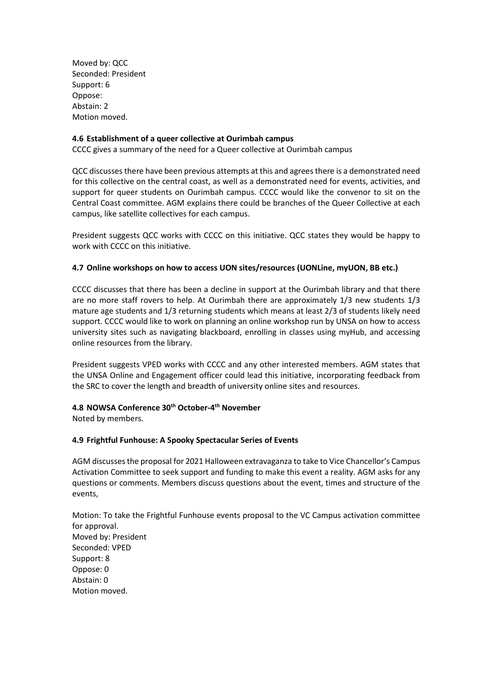Moved by: QCC Seconded: President Support: 6 Oppose: Abstain: 2 Motion moved.

#### **4.6 Establishment of a queer collective at Ourimbah campus**

CCCC gives a summary of the need for a Queer collective at Ourimbah campus

QCC discusses there have been previous attempts at this and agrees there is a demonstrated need for this collective on the central coast, as well as a demonstrated need for events, activities, and support for queer students on Ourimbah campus. CCCC would like the convenor to sit on the Central Coast committee. AGM explains there could be branches of the Queer Collective at each campus, like satellite collectives for each campus.

President suggests QCC works with CCCC on this initiative. QCC states they would be happy to work with CCCC on this initiative.

#### **4.7 Online workshops on how to access UON sites/resources (UONLine, myUON, BB etc.)**

CCCC discusses that there has been a decline in support at the Ourimbah library and that there are no more staff rovers to help. At Ourimbah there are approximately 1/3 new students 1/3 mature age students and 1/3 returning students which means at least 2/3 of students likely need support. CCCC would like to work on planning an online workshop run by UNSA on how to access university sites such as navigating blackboard, enrolling in classes using myHub, and accessing online resources from the library.

President suggests VPED works with CCCC and any other interested members. AGM states that the UNSA Online and Engagement officer could lead this initiative, incorporating feedback from the SRC to cover the length and breadth of university online sites and resources.

#### **4.8 NOWSA Conference 30th October-4th November**

Noted by members.

#### **4.9 Frightful Funhouse: A Spooky Spectacular Series of Events**

AGM discusses the proposal for 2021 Halloween extravaganza to take to Vice Chancellor's Campus Activation Committee to seek support and funding to make this event a reality. AGM asks for any questions or comments. Members discuss questions about the event, times and structure of the events,

Motion: To take the Frightful Funhouse events proposal to the VC Campus activation committee for approval. Moved by: President Seconded: VPED Support: 8 Oppose: 0 Abstain: 0 Motion moved.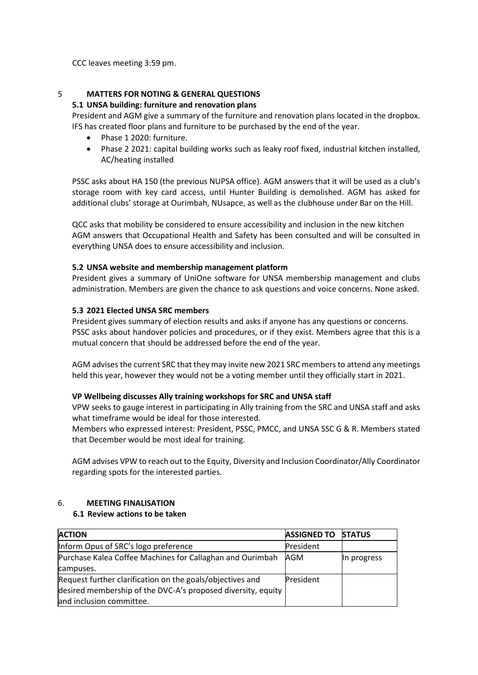CCC leaves meeting 3:59 pm.

#### 5 **MATTERS FOR NOTING & GENERAL QUESTIONS**

#### **5.1 UNSA building: furniture and renovation plans**

President and AGM give a summary of the furniture and renovation plans located in the dropbox. IFS has created floor plans and furniture to be purchased by the end of the year.

- Phase 1 2020: furniture.
- Phase 2 2021: capital building works such as leaky roof fixed, industrial kitchen installed, AC/heating installed

PSSC asks about HA 150 (the previous NUPSA office). AGM answers that it will be used as a club's storage room with key card access, until Hunter Building is demolished. AGM has asked for additional clubs' storage at Ourimbah, NUsapce, as well as the clubhouse under Bar on the Hill.

QCC asks that mobility be considered to ensure accessibility and inclusion in the new kitchen AGM answers that Occupational Health and Safety has been consulted and will be consulted in everything UNSA does to ensure accessibility and inclusion.

#### **5.2 UNSA website and membership management platform**

President gives a summary of UniOne software for UNSA membership management and clubs administration. Members are given the chance to ask questions and voice concerns. None asked.

#### **5.3 2021 Elected UNSA SRC members**

President gives summary of election results and asks if anyone has any questions or concerns. PSSC asks about handover policies and procedures, or if they exist. Members agree that this is a mutual concern that should be addressed before the end of the year.

AGM advises the current SRC that they may invite new 2021 SRC members to attend any meetings held this year, however they would not be a voting member until they officially start in 2021.

#### **VP Wellbeing discusses Ally training workshops for SRC and UNSA staff**

VPW seeks to gauge interest in participating in Ally training from the SRC and UNSA staff and asks what timeframe would be ideal for those interested.

Members who expressed interest: President, PSSC, PMCC, and UNSA SSC G & R. Members stated that December would be most ideal for training.

AGM advises VPW to reach out to the Equity, Diversity and Inclusion Coordinator/Ally Coordinator regarding spots for the interested parties.

# 6. **MEETING FINALISATION**

#### **6.1 Review actions to be taken**

| <b>ACTION</b>                                                | <b>ASSIGNED TO</b> | <b>STATUS</b> |
|--------------------------------------------------------------|--------------------|---------------|
| Inform Opus of SRC's logo preference                         | President          |               |
| Purchase Kalea Coffee Machines for Callaghan and Ourimbah    | AGM                | In progress   |
| campuses.                                                    |                    |               |
| Request further clarification on the goals/objectives and    | President          |               |
| desired membership of the DVC-A's proposed diversity, equity |                    |               |
| and inclusion committee.                                     |                    |               |